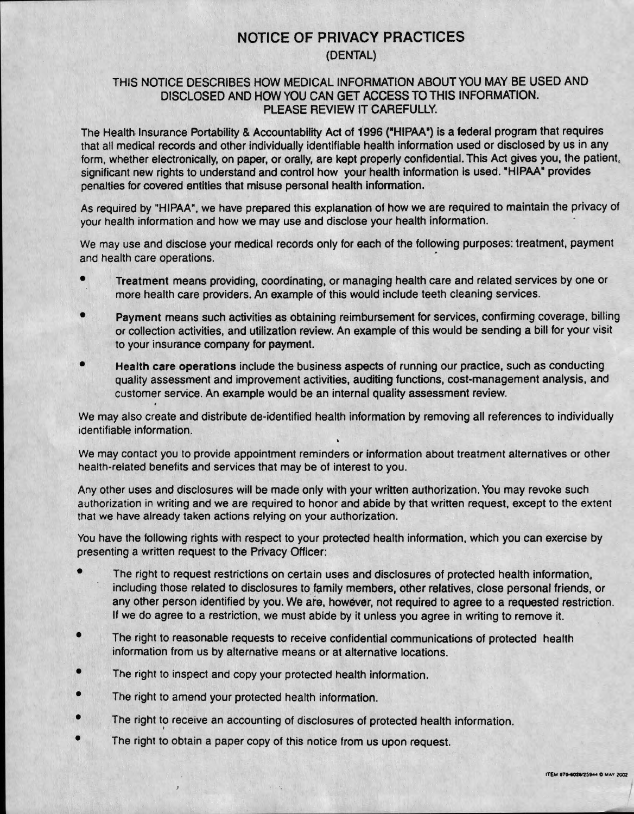## **NOTICE OF PRIVACY PRACTICES (DENTAL)**

## THIS NOTICE DESCRIBES HOW MEDICAL INFORMATION ABOUT YOU MAY BE USED AND DISCLOSED AND HOW YOU CAN GET ACCESS TO THIS INFORMATION. PLEASE REVIEW IT CAREFULLY.

The Health- Insurance Portability & Accountability Act of 1996 ("HIPAA") is a federal program that requires that all medical records and other individually identifiable health information used or disclosed by us in any form, whether electronically, on paper, or orally, are kept properly confidential. This Act gives you, the patient, significant new rights to understand and control how your health information is used. "HIPAA" provides penalties for covered entities that misuse personal health information.

As required by "HIPAA", we have prepared this explanation of how we are required to maintain the privacy of your health information and how we may use and disclose your health information.

We may use and disclose your medical records only for each of the following purposes: treatment, payment and health care operations.

- **Treatment** means providing, coordinating, or managing health care and related\_ services by one or more health care providers. An example of this would include teeth cleaning services .
- Payment means such activities as obtaining reimbursement for services, confirming coverage, billing or collection activities, and utilization review. An example of this would be sending a bill for your visit to your insurance company for payment.
- Health **care operations** include the business aspects of running our practice, such as conducting quality assessment and improvement activities, auditing functions, cost-management analysis, and customer service. An example would be an internal quality assessment review.

We may also create and distribute de-identified health information by removing all references to individually identifiable information.

We may contact you to provide appointment reminders or information about treatment alternatives or other health-related benefits and services that may be of interest to you.

Any other uses and disclosures will be made only with your written authorization. You may revoke such authorization in writing and we are required to honor and abide by that written request, except to the extent that we have already taken actions relying on your authorization.

You have the following rights with respect to your protected health information, which you can exercise by presenting a written request to the Privacy Officer:

- The right to request restrictions on certain uses and disclosures of protected health information. including those related to disclosures to family members, other relatives, close personal friends, or any other person identified by you. We are, however, not required to agree to a requested restriction. If we do agree to a restriction, we must abide by it unless you agree in writing to remove it.
- The right to reasonable requests to receive confidential communications of protected health information from us by alternative means or at alternative locations.
- The right to inspect and copy your protected health information.
- The right to amend your protected health information.
- The right to receive an accounting of disclosures of protected health information.
- The right to obtain a paper copy of this notice from us upon request.

I